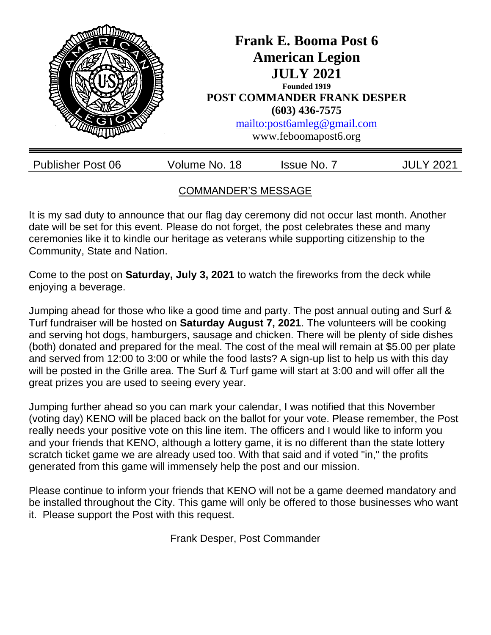

# COMMANDER'S MESSAGE

It is my sad duty to announce that our flag day ceremony did not occur last month. Another date will be set for this event. Please do not forget, the post celebrates these and many ceremonies like it to kindle our heritage as veterans while supporting citizenship to the Community, State and Nation.

Come to the post on **Saturday, July 3, 2021** to watch the fireworks from the deck while enjoying a beverage.

Jumping ahead for those who like a good time and party. The post annual outing and Surf & Turf fundraiser will be hosted on **Saturday August 7, 2021**. The volunteers will be cooking and serving hot dogs, hamburgers, sausage and chicken. There will be plenty of side dishes (both) donated and prepared for the meal. The cost of the meal will remain at \$5.00 per plate and served from 12:00 to 3:00 or while the food lasts? A sign-up list to help us with this day will be posted in the Grille area. The Surf & Turf game will start at 3:00 and will offer all the great prizes you are used to seeing every year.

Jumping further ahead so you can mark your calendar, I was notified that this November (voting day) KENO will be placed back on the ballot for your vote. Please remember, the Post really needs your positive vote on this line item. The officers and I would like to inform you and your friends that KENO, although a lottery game, it is no different than the state lottery scratch ticket game we are already used too. With that said and if voted "in," the profits generated from this game will immensely help the post and our mission.

Please continue to inform your friends that KENO will not be a game deemed mandatory and be installed throughout the City. This game will only be offered to those businesses who want it. Please support the Post with this request.

Frank Desper, Post Commander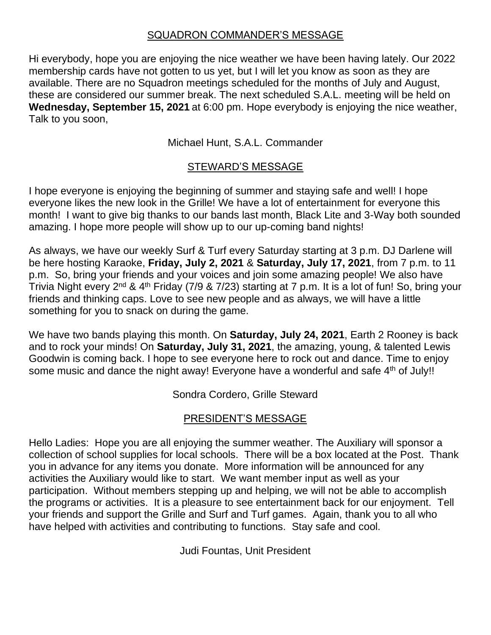#### SQUADRON COMMANDER'S MESSAGE

Hi everybody, hope you are enjoying the nice weather we have been having lately. Our 2022 membership cards have not gotten to us yet, but I will let you know as soon as they are available. There are no Squadron meetings scheduled for the months of July and August, these are considered our summer break. The next scheduled S.A.L. meeting will be held on **Wednesday, September 15, 2021** at 6:00 pm. Hope everybody is enjoying the nice weather, Talk to you soon,

Michael Hunt, S.A.L. Commander

### STEWARD'S MESSAGE

I hope everyone is enjoying the beginning of summer and staying safe and well! I hope everyone likes the new look in the Grille! We have a lot of entertainment for everyone this month! I want to give big thanks to our bands last month, Black Lite and 3-Way both sounded amazing. I hope more people will show up to our up-coming band nights!

As always, we have our weekly Surf & Turf every Saturday starting at 3 p.m. DJ Darlene will be here hosting Karaoke, **Friday, July 2, 2021** & **Saturday, July 17, 2021**, from 7 p.m. to 11 p.m. So, bring your friends and your voices and join some amazing people! We also have Trivia Night every 2nd & 4th Friday (7/9 & 7/23) starting at 7 p.m. It is a lot of fun! So, bring your friends and thinking caps. Love to see new people and as always, we will have a little something for you to snack on during the game.

We have two bands playing this month. On **Saturday, July 24, 2021**, Earth 2 Rooney is back and to rock your minds! On **Saturday, July 31, 2021**, the amazing, young, & talented Lewis Goodwin is coming back. I hope to see everyone here to rock out and dance. Time to enjoy some music and dance the night away! Everyone have a wonderful and safe 4<sup>th</sup> of July!!

Sondra Cordero, Grille Steward

## PRESIDENT'S MESSAGE

Hello Ladies: Hope you are all enjoying the summer weather. The Auxiliary will sponsor a collection of school supplies for local schools. There will be a box located at the Post. Thank you in advance for any items you donate. More information will be announced for any activities the Auxiliary would like to start. We want member input as well as your participation. Without members stepping up and helping, we will not be able to accomplish the programs or activities. It is a pleasure to see entertainment back for our enjoyment. Tell your friends and support the Grille and Surf and Turf games. Again, thank you to all who have helped with activities and contributing to functions. Stay safe and cool.

Judi Fountas, Unit President